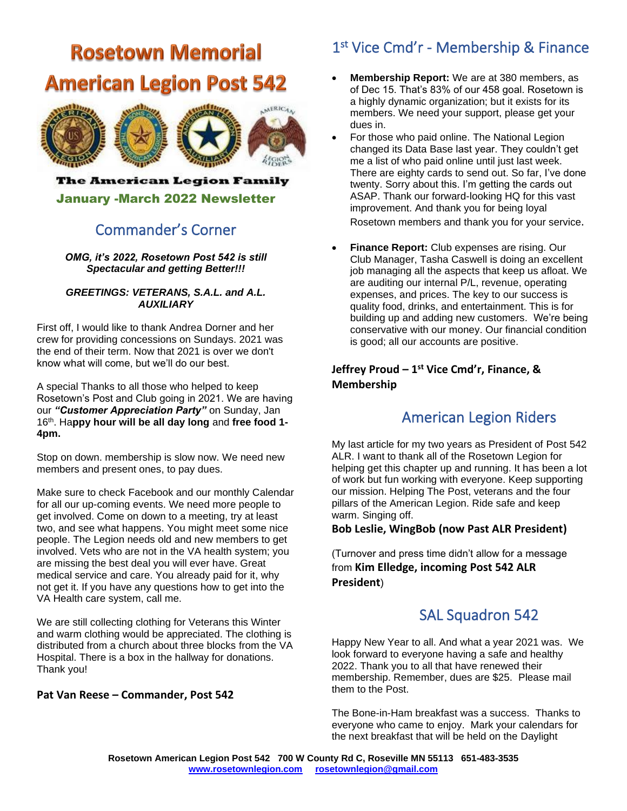# **Rosetown Memorial American Legion Post 542**



### The American Legion Family

January -March 2022 Newsletter

### Commander's Corner

*OMG, it's 2022, Rosetown Post 542 is still Spectacular and getting Better!!!*

#### *GREETINGS: VETERANS, S.A.L. and A.L. AUXILIARY*

First off, I would like to thank Andrea Dorner and her crew for providing concessions on Sundays. 2021 was the end of their term. Now that 2021 is over we don't know what will come, but we'll do our best.

A special Thanks to all those who helped to keep Rosetown's Post and Club going in 2021. We are having our *"Customer Appreciation Party"* on Sunday, Jan 16th. Ha**ppy hour will be all day long** and **free food 1- 4pm.**

Stop on down. membership is slow now. We need new members and present ones, to pay dues.

Make sure to check Facebook and our monthly Calendar for all our up-coming events. We need more people to get involved. Come on down to a meeting, try at least two, and see what happens. You might meet some nice people. The Legion needs old and new members to get involved. Vets who are not in the VA health system; you are missing the best deal you will ever have. Great medical service and care. You already paid for it, why not get it. If you have any questions how to get into the VA Health care system, call me.

We are still collecting clothing for Veterans this Winter and warm clothing would be appreciated. The clothing is distributed from a church about three blocks from the VA Hospital. There is a box in the hallway for donations. Thank you!

#### **Pat Van Reese – Commander, Post 542**

# 1 st Vice Cmd'r - Membership & Finance

- **Membership Report:** We are at 380 members, as of Dec 15. That's 83% of our 458 goal. Rosetown is a highly dynamic organization; but it exists for its members. We need your support, please get your dues in.
- For those who paid online. The National Legion changed its Data Base last year. They couldn't get me a list of who paid online until just last week. There are eighty cards to send out. So far, I've done twenty. Sorry about this. I'm getting the cards out ASAP. Thank our forward-looking HQ for this vast improvement. And thank you for being loyal Rosetown members and thank you for your service.
- **Finance Report:** Club expenses are rising. Our Club Manager, Tasha Caswell is doing an excellent job managing all the aspects that keep us afloat. We are auditing our internal P/L, revenue, operating expenses, and prices. The key to our success is quality food, drinks, and entertainment. This is for building up and adding new customers. We're being conservative with our money. Our financial condition is good; all our accounts are positive.

### **Jeffrey Proud – 1 st Vice Cmd'r, Finance, & Membership**

## American Legion Riders

My last article for my two years as President of Post 542 ALR. I want to thank all of the Rosetown Legion for helping get this chapter up and running. It has been a lot of work but fun working with everyone. Keep supporting our mission. Helping The Post, veterans and the four pillars of the American Legion. Ride safe and keep warm. Singing off.

#### **Bob Leslie, WingBob (now Past ALR President)**

(Turnover and press time didn't allow for a message from **Kim Elledge, incoming Post 542 ALR President**)

## SAL Squadron 542

Happy New Year to all. And what a year 2021 was. We look forward to everyone having a safe and healthy 2022. Thank you to all that have renewed their membership. Remember, dues are \$25. Please mail them to the Post.

The Bone-in-Ham breakfast was a success. Thanks to everyone who came to enjoy. Mark your calendars for the next breakfast that will be held on the Daylight